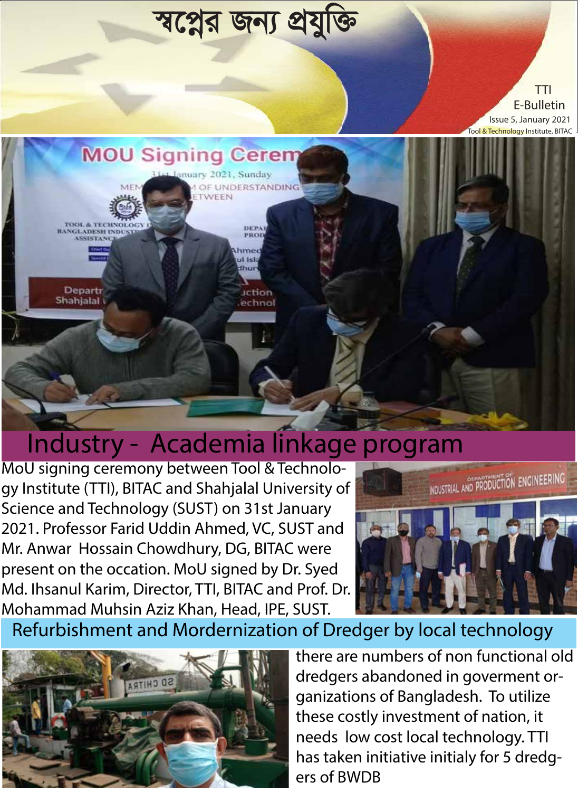

## Industry - Academia linkage program

MoU signing ceremony between Tool & Technology Institute (TTI), BITAC and Shahjalal University of Science and Technology (SUST) on 31st January 2021. Professor Farid Uddin Ahmed, VC, SUST and Mr. Anwar Hossain Chowdhury, DG, BITAC were present on the occation. MoU signed by Dr. Syed Md. Ihsanul Karim, Director, TTI, BITAC and Prof. Dr. Mohammad Muhsin Aziz Khan, Head, IPE, SUST.



Refurbishment and Mordernization of Dredger by local technology



there are numbers of non functional old dredgers abandoned in goverment organizations of Bangladesh. To utilize these costly investment of nation, it needs low cost local technology. TTI has taken initiative initialy for 5 dredgers of BWDB